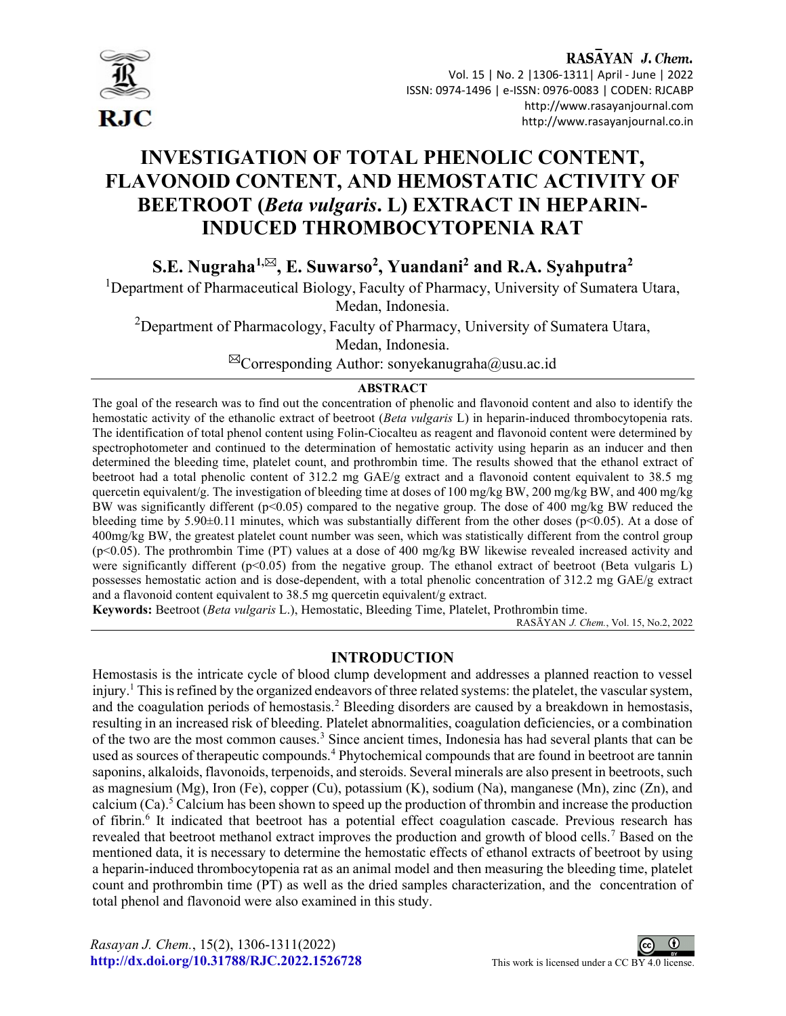

# RASAYAN J. Chem. Vol. 15 | No. 2 |1306-1311| April - June | 2022 ISSN: 0974-1496 | e-ISSN: 0976-0083 | CODEN: RJCABP http://www.rasayanjournal.com http://www.rasayanjournal.co.in

# INVESTIGATION OF TOTAL PHENOLIC CONTENT, FLAVONOID CONTENT, AND HEMOSTATIC ACTIVITY OF BEETROOT (Beta vulgaris. L) EXTRACT IN HEPARIN-INDUCED THROMBOCYTOPENIA RAT

S.E. Nugraha<sup>1,⊠</sup>, E. Suwarso<sup>2</sup>, Yuandani<sup>2</sup> and R.A. Syahputra<sup>2</sup>

<sup>1</sup>Department of Pharmaceutical Biology, Faculty of Pharmacy, University of Sumatera Utara,

Medan, Indonesia.

<sup>2</sup>Department of Pharmacology, Faculty of Pharmacy, University of Sumatera Utara,

Medan, Indonesia.

 $^{\boxtimes}$ Corresponding Author: sonyekanugraha@usu.ac.id

# ABSTRACT

The goal of the research was to find out the concentration of phenolic and flavonoid content and also to identify the hemostatic activity of the ethanolic extract of beetroot (Beta vulgaris L) in heparin-induced thrombocytopenia rats. The identification of total phenol content using Folin-Ciocalteu as reagent and flavonoid content were determined by spectrophotometer and continued to the determination of hemostatic activity using heparin as an inducer and then determined the bleeding time, platelet count, and prothrombin time. The results showed that the ethanol extract of beetroot had a total phenolic content of 312.2 mg GAE/g extract and a flavonoid content equivalent to 38.5 mg quercetin equivalent/g. The investigation of bleeding time at doses of 100 mg/kg BW, 200 mg/kg BW, and 400 mg/kg BW was significantly different (p<0.05) compared to the negative group. The dose of 400 mg/kg BW reduced the bleeding time by 5.90 $\pm$ 0.11 minutes, which was substantially different from the other doses (p<0.05). At a dose of 400mg/kg BW, the greatest platelet count number was seen, which was statistically different from the control group (p<0.05). The prothrombin Time (PT) values at a dose of 400 mg/kg BW likewise revealed increased activity and were significantly different (p<0.05) from the negative group. The ethanol extract of beetroot (Beta vulgaris L) possesses hemostatic action and is dose-dependent, with a total phenolic concentration of 312.2 mg GAE/g extract and a flavonoid content equivalent to 38.5 mg quercetin equivalent/g extract.

Keywords: Beetroot (Beta vulgaris L.), Hemostatic, Bleeding Time, Platelet, Prothrombin time.

RASĀYAN J. Chem., Vol. 15, No.2, 2022

# INTRODUCTION

Hemostasis is the intricate cycle of blood clump development and addresses a planned reaction to vessel injury.<sup>1</sup> This is refined by the organized endeavors of three related systems: the platelet, the vascular system, and the coagulation periods of hemostasis.<sup>2</sup> Bleeding disorders are caused by a breakdown in hemostasis, resulting in an increased risk of bleeding. Platelet abnormalities, coagulation deficiencies, or a combination of the two are the most common causes.<sup>3</sup> Since ancient times, Indonesia has had several plants that can be used as sources of therapeutic compounds.<sup>4</sup> Phytochemical compounds that are found in beetroot are tannin saponins, alkaloids, flavonoids, terpenoids, and steroids. Several minerals are also present in beetroots, such as magnesium (Mg), Iron (Fe), copper (Cu), potassium (K), sodium (Na), manganese (Mn), zinc (Zn), and calcium (Ca).<sup>5</sup> Calcium has been shown to speed up the production of thrombin and increase the production of fibrin.<sup>6</sup> It indicated that beetroot has a potential effect coagulation cascade. Previous research has revealed that beetroot methanol extract improves the production and growth of blood cells.<sup>7</sup> Based on the mentioned data, it is necessary to determine the hemostatic effects of ethanol extracts of beetroot by using a heparin-induced thrombocytopenia rat as an animal model and then measuring the bleeding time, platelet count and prothrombin time (PT) as well as the dried samples characterization, and the concentration of total phenol and flavonoid were also examined in this study.

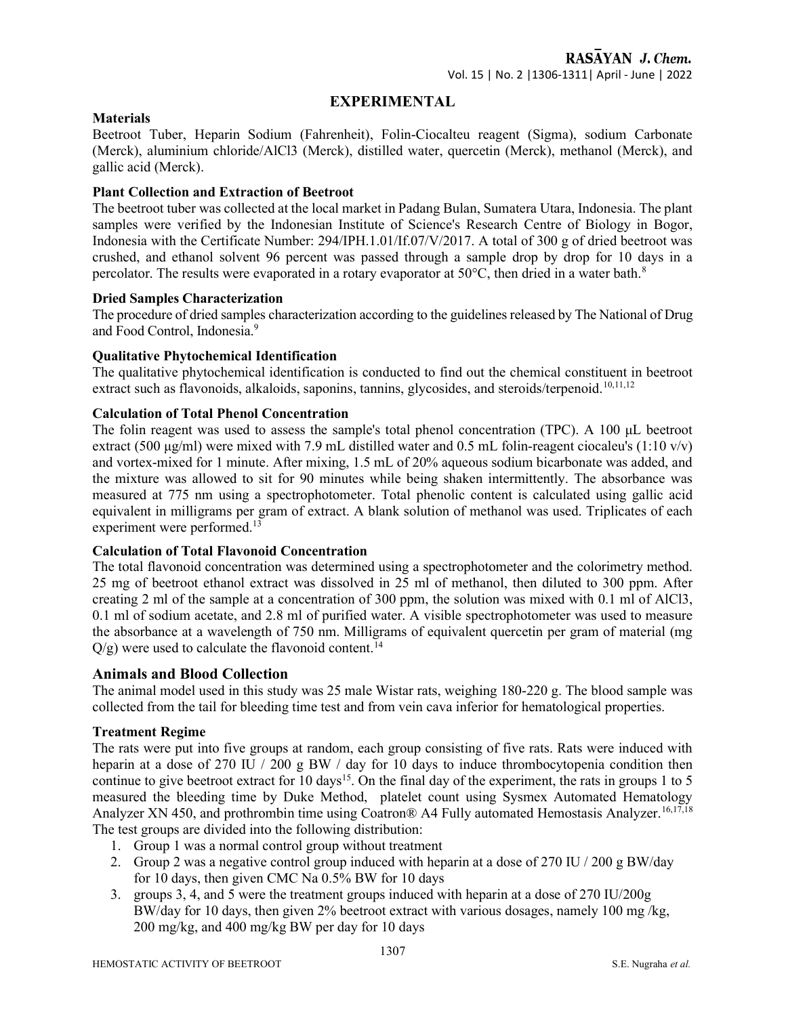# EXPERIMENTAL

#### **Materials**

Beetroot Tuber, Heparin Sodium (Fahrenheit), Folin-Ciocalteu reagent (Sigma), sodium Carbonate (Merck), aluminium chloride/AlCl3 (Merck), distilled water, quercetin (Merck), methanol (Merck), and gallic acid (Merck).

#### Plant Collection and Extraction of Beetroot

The beetroot tuber was collected at the local market in Padang Bulan, Sumatera Utara, Indonesia. The plant samples were verified by the Indonesian Institute of Science's Research Centre of Biology in Bogor, Indonesia with the Certificate Number: 294/IPH.1.01/If.07/V/2017. A total of 300 g of dried beetroot was crushed, and ethanol solvent 96 percent was passed through a sample drop by drop for 10 days in a percolator. The results were evaporated in a rotary evaporator at  $50^{\circ}$ C, then dried in a water bath.<sup>8</sup>

#### Dried Samples Characterization

The procedure of dried samples characterization according to the guidelines released by The National of Drug and Food Control, Indonesia.<sup>9</sup>

#### Qualitative Phytochemical Identification

The qualitative phytochemical identification is conducted to find out the chemical constituent in beetroot extract such as flavonoids, alkaloids, saponins, tannins, glycosides, and steroids/terpenoid.<sup>10,11,12</sup>

#### Calculation of Total Phenol Concentration

The folin reagent was used to assess the sample's total phenol concentration (TPC). A 100 μL beetroot extract (500 µg/ml) were mixed with 7.9 mL distilled water and 0.5 mL folin-reagent ciocaleu's (1:10  $v/v$ ) and vortex-mixed for 1 minute. After mixing, 1.5 mL of 20% aqueous sodium bicarbonate was added, and the mixture was allowed to sit for 90 minutes while being shaken intermittently. The absorbance was measured at 775 nm using a spectrophotometer. Total phenolic content is calculated using gallic acid equivalent in milligrams per gram of extract. A blank solution of methanol was used. Triplicates of each experiment were performed.<sup>13</sup>

# Calculation of Total Flavonoid Concentration

The total flavonoid concentration was determined using a spectrophotometer and the colorimetry method. 25 mg of beetroot ethanol extract was dissolved in 25 ml of methanol, then diluted to 300 ppm. After creating 2 ml of the sample at a concentration of 300 ppm, the solution was mixed with 0.1 ml of AlCl3, 0.1 ml of sodium acetate, and 2.8 ml of purified water. A visible spectrophotometer was used to measure the absorbance at a wavelength of 750 nm. Milligrams of equivalent quercetin per gram of material (mg  $Q/g$ ) were used to calculate the flavonoid content.<sup>14</sup>

# Animals and Blood Collection

The animal model used in this study was 25 male Wistar rats, weighing 180-220 g. The blood sample was collected from the tail for bleeding time test and from vein cava inferior for hematological properties.

#### Treatment Regime

The rats were put into five groups at random, each group consisting of five rats. Rats were induced with heparin at a dose of 270 IU / 200 g BW / day for 10 days to induce thrombocytopenia condition then continue to give beetroot extract for 10 days<sup>15</sup>. On the final day of the experiment, the rats in groups 1 to 5 measured the bleeding time by Duke Method, platelet count using Sysmex Automated Hematology Analyzer XN 450, and prothrombin time using Coatron® A4 Fully automated Hemostasis Analyzer.<sup>16,17,18</sup> The test groups are divided into the following distribution:

- 1. Group 1 was a normal control group without treatment
- 2. Group 2 was a negative control group induced with heparin at a dose of 270 IU / 200 g BW/day for 10 days, then given CMC Na 0.5% BW for 10 days
- 3. groups 3, 4, and 5 were the treatment groups induced with heparin at a dose of 270 IU/200g BW/day for 10 days, then given 2% beetroot extract with various dosages, namely 100 mg /kg, 200 mg/kg, and 400 mg/kg BW per day for 10 days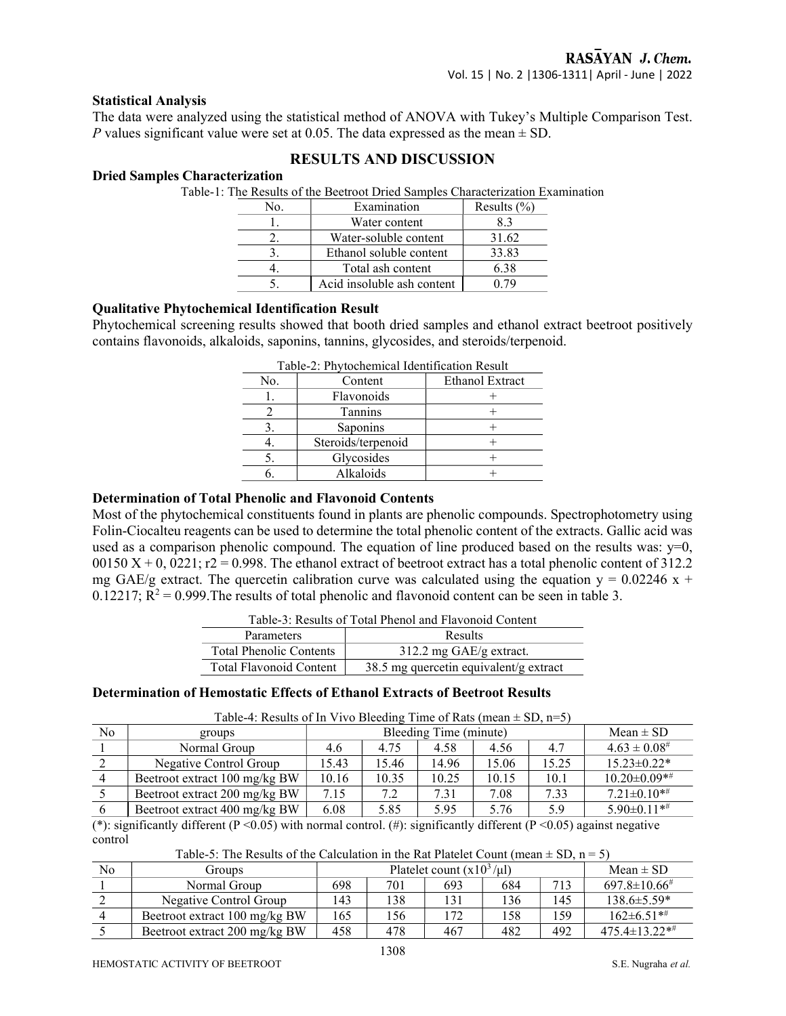#### Statistical Analysis

The data were analyzed using the statistical method of ANOVA with Tukey's Multiple Comparison Test. P values significant value were set at 0.05. The data expressed as the mean  $\pm$  SD.

# RESULTS AND DISCUSSION

#### Dried Samples Characterization

Table-1: The Results of the Beetroot Dried Samples Characterization Examination

| Nο. | Examination                | Results $(\% )$ |
|-----|----------------------------|-----------------|
|     | Water content              | 8.3             |
|     | Water-soluble content      | 31.62           |
|     | Ethanol soluble content    | 33.83           |
|     | Total ash content          | 6.38            |
|     | Acid insoluble ash content |                 |

#### Qualitative Phytochemical Identification Result

Phytochemical screening results showed that booth dried samples and ethanol extract beetroot positively contains flavonoids, alkaloids, saponins, tannins, glycosides, and steroids/terpenoid.

| 1 apre-2. I hytochemical ruemmeation result |                 |  |  |  |  |  |  |
|---------------------------------------------|-----------------|--|--|--|--|--|--|
| Content                                     | Ethanol Extract |  |  |  |  |  |  |
| Flavonoids                                  |                 |  |  |  |  |  |  |
| <b>Tannins</b>                              |                 |  |  |  |  |  |  |
| Saponins                                    |                 |  |  |  |  |  |  |
| Steroids/terpenoid                          |                 |  |  |  |  |  |  |
| Glycosides                                  |                 |  |  |  |  |  |  |
| Alkaloids                                   |                 |  |  |  |  |  |  |
|                                             |                 |  |  |  |  |  |  |

#### Determination of Total Phenolic and Flavonoid Contents

Most of the phytochemical constituents found in plants are phenolic compounds. Spectrophotometry using Folin-Ciocalteu reagents can be used to determine the total phenolic content of the extracts. Gallic acid was used as a comparison phenolic compound. The equation of line produced based on the results was:  $y=0$ ,  $00150 X + 0$ ,  $0221$ ;  $r2 = 0.998$ . The ethanol extract of beetroot extract has a total phenolic content of 312.2 mg GAE/g extract. The quercetin calibration curve was calculated using the equation  $y = 0.02246 x +$ 0.12217;  $R^2 = 0.999$ . The results of total phenolic and flavonoid content can be seen in table 3.

| Table-5. Results of Total Flienof and Flavonord Content |                                        |  |  |  |  |  |
|---------------------------------------------------------|----------------------------------------|--|--|--|--|--|
| Parameters                                              | Results                                |  |  |  |  |  |
| <b>Total Phenolic Contents</b>                          | $312.2$ mg GAE/g extract.              |  |  |  |  |  |
| <b>Total Flavonoid Content</b>                          | 38.5 mg quercetin equivalent/g extract |  |  |  |  |  |

Table-3: Results of Total Phenol and Flavonoid Content

#### Determination of Hemostatic Effects of Ethanol Extracts of Beetroot Results

| No | groups                        | Bleeding Time (minute) |       |       |       |       | Mean $\pm$ SD        |
|----|-------------------------------|------------------------|-------|-------|-------|-------|----------------------|
|    | Normal Group                  | 4.6                    | 4.75  | 4.58  | 4.56  | 4.7   | $4.63 \pm 0.08^{\#}$ |
|    | Negative Control Group        | 15.43                  | 15.46 | 14.96 | 15.06 | 15.25 | $15.23 \pm 0.22$ *   |
|    | Beetroot extract 100 mg/kg BW | 10.16                  | 10.35 | 10.25 | 10.15 | 10.1  | $10.20 \pm 0.09**$   |
|    | Beetroot extract 200 mg/kg BW | 7.15                   | 7.2   | 7.31  | 7.08  | 7.33  | $7.21 \pm 0.10**$    |
|    | Beetroot extract 400 mg/kg BW | 6.08                   | 5.85  | 5.95  | 5.76  | 5.9   | $5.90 \pm 0.11**$    |

(\*): significantly different (P < 0.05) with normal control. (#): significantly different (P < 0.05) against negative control

| Table-5: The Results of the Calculation in the Rat Platelet Count (mean $\pm$ SD, n = 5) |
|------------------------------------------------------------------------------------------|
|------------------------------------------------------------------------------------------|

| No | Groups                        | Platelet count $(x10^3/\mu l)$ |     |      |     | Mean $\pm$ SD |                        |
|----|-------------------------------|--------------------------------|-----|------|-----|---------------|------------------------|
|    | Normal Group                  | 698                            | 701 | 693  | 684 | 713           | $697.8 \pm 10.66^{\#}$ |
|    | Negative Control Group        | 143                            | 138 |      | 136 | 145           | $138.6 \pm 5.59*$      |
|    | Beetroot extract 100 mg/kg BW | 165                            | 56  | 72 ا | 158 | 159           | $162\pm 6.51**$        |
|    | Beetroot extract 200 mg/kg BW | 458                            | 478 | 467  | 482 | 492           | $475.4 \pm 13.22**$    |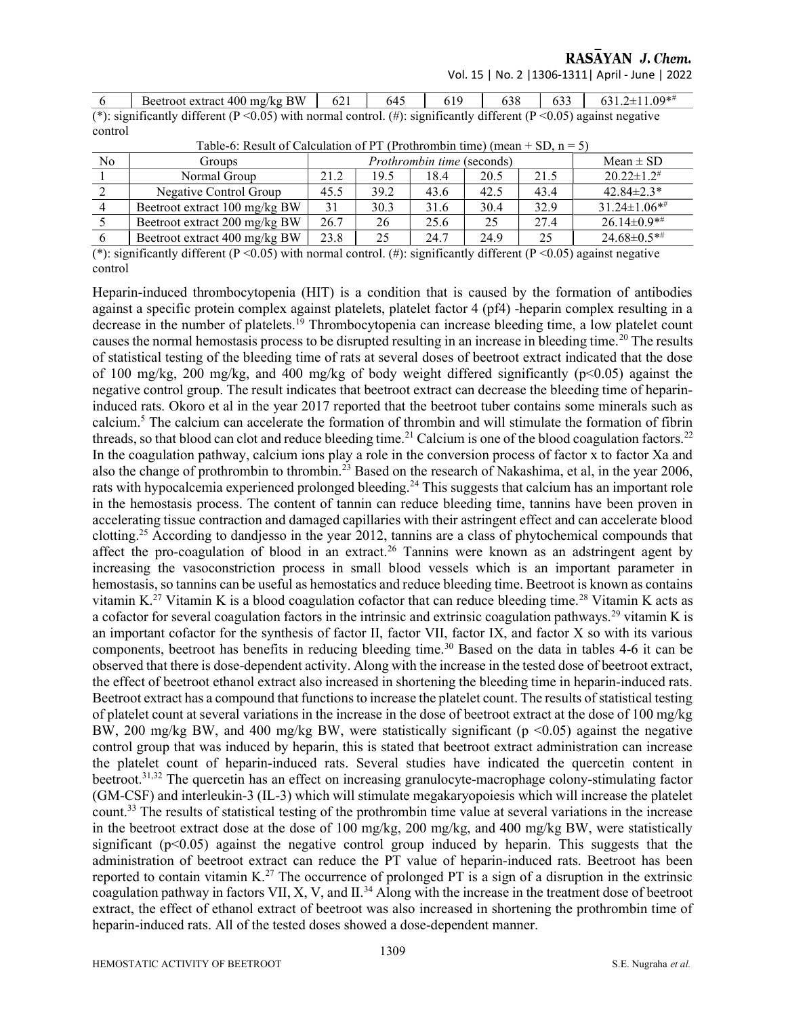RASAYAN J. Chem.

Vol. 15 | No. 2 |1306-1311| April - June | 2022

 $645$   $618$   $619$   $629$   $621.2\pm11.00*$ #

| $\mathbf{O}$ | Beetroot extract 400 mg/kg B W   021   043   019   038   033   031.2±11.09 <sup>46</sup>                                      |  |  |  |
|--------------|-------------------------------------------------------------------------------------------------------------------------------|--|--|--|
|              | (*): significantly different ( $P < 0.05$ ) with normal control. (#): significantly different ( $P < 0.05$ ) against negative |  |  |  |
| control      |                                                                                                                               |  |  |  |

| Table-6: Result of Calculation of PT (Prothrombin time) (mean + SD, $n = 5$ ) |                                                                                                                         |                                   |                       |                        |                   |               |                                         |  |  |
|-------------------------------------------------------------------------------|-------------------------------------------------------------------------------------------------------------------------|-----------------------------------|-----------------------|------------------------|-------------------|---------------|-----------------------------------------|--|--|
| N <sub>o</sub>                                                                | <b>Groups</b>                                                                                                           | <i>Prothrombin time</i> (seconds) |                       |                        |                   | $Mean \pm SD$ |                                         |  |  |
|                                                                               | Normal Group                                                                                                            | 21.2                              | 19.5                  | 18.4                   | 20.5              | 21.5          | $20.22 \pm 1.2$ <sup>#</sup>            |  |  |
|                                                                               | Negative Control Group                                                                                                  | 45.5                              | 39.2                  | 43.6                   | 42.5              | 43.4          | $42.84 \pm 2.3*$                        |  |  |
|                                                                               | Beetroot extract 100 mg/kg BW                                                                                           | 31                                | 30.3                  | 31.6                   | 30.4              | 32.9          | $31.24 \pm 1.06$ **                     |  |  |
|                                                                               | Beetroot extract 200 mg/kg BW                                                                                           | 26.7                              | 26                    | 25.6                   | 25                | 27.4          | $26.14 \pm 0.9**$                       |  |  |
|                                                                               | Beetroot extract 400 mg/kg BW                                                                                           | 23.8                              | 25                    | 24.7                   | 24.9              | 25            | $24.68 \pm 0.5**$                       |  |  |
| $\Delta$                                                                      | $\mathcal{C}$ at 1.00 $\mathcal{C}$ $\mathcal{D}$ $\mathcal{D}$ $\mathcal{D}$ $\mathcal{D}$ $\mathcal{D}$ $\mathcal{D}$ |                                   | $\sqrt{1}$ $\sqrt{1}$ | $\cdot$ $\cdot$ $\sim$ | 1.00<br>$\cdot$ 1 | (0.62)        | and the contract of the contract of the |  |  |

(\*): significantly different ( $P < 0.05$ ) with normal control. (#): significantly different ( $P < 0.05$ ) against negative control

Heparin-induced thrombocytopenia (HIT) is a condition that is caused by the formation of antibodies against a specific protein complex against platelets, platelet factor 4 (pf4) -heparin complex resulting in a decrease in the number of platelets.<sup>19</sup> Thrombocytopenia can increase bleeding time, a low platelet count causes the normal hemostasis process to be disrupted resulting in an increase in bleeding time.<sup>20</sup> The results of statistical testing of the bleeding time of rats at several doses of beetroot extract indicated that the dose of 100 mg/kg, 200 mg/kg, and 400 mg/kg of body weight differed significantly (p<0.05) against the negative control group. The result indicates that beetroot extract can decrease the bleeding time of heparininduced rats. Okoro et al in the year 2017 reported that the beetroot tuber contains some minerals such as calcium.<sup>5</sup> The calcium can accelerate the formation of thrombin and will stimulate the formation of fibrin threads, so that blood can clot and reduce bleeding time.<sup>21</sup> Calcium is one of the blood coagulation factors.<sup>22</sup> In the coagulation pathway, calcium ions play a role in the conversion process of factor  $\overline{x}$  to factor Xa and also the change of prothrombin to thrombin.<sup>23</sup> Based on the research of Nakashima, et al, in the year 2006, rats with hypocalcemia experienced prolonged bleeding.<sup>24</sup> This suggests that calcium has an important role in the hemostasis process. The content of tannin can reduce bleeding time, tannins have been proven in accelerating tissue contraction and damaged capillaries with their astringent effect and can accelerate blood clotting.<sup>25</sup> According to dandjesso in the year 2012, tannins are a class of phytochemical compounds that affect the pro-coagulation of blood in an extract.<sup>26</sup> Tannins were known as an adstringent agent by increasing the vasoconstriction process in small blood vessels which is an important parameter in hemostasis, so tannins can be useful as hemostatics and reduce bleeding time. Beetroot is known as contains vitamin K.<sup>27</sup> Vitamin K is a blood coagulation cofactor that can reduce bleeding time.<sup>28</sup> Vitamin K acts as a cofactor for several coagulation factors in the intrinsic and extrinsic coagulation pathways.<sup>29</sup> vitamin K is an important cofactor for the synthesis of factor II, factor VII, factor IX, and factor X so with its various components, beetroot has benefits in reducing bleeding time.<sup>30</sup> Based on the data in tables 4-6 it can be observed that there is dose-dependent activity. Along with the increase in the tested dose of beetroot extract, the effect of beetroot ethanol extract also increased in shortening the bleeding time in heparin-induced rats. Beetroot extract has a compound that functions to increase the platelet count. The results of statistical testing of platelet count at several variations in the increase in the dose of beetroot extract at the dose of 100 mg/kg BW, 200 mg/kg BW, and 400 mg/kg BW, were statistically significant ( $p \le 0.05$ ) against the negative control group that was induced by heparin, this is stated that beetroot extract administration can increase the platelet count of heparin-induced rats. Several studies have indicated the quercetin content in beetroot.31,32 The quercetin has an effect on increasing granulocyte-macrophage colony-stimulating factor (GM-CSF) and interleukin-3 (IL-3) which will stimulate megakaryopoiesis which will increase the platelet count.<sup>33</sup> The results of statistical testing of the prothrombin time value at several variations in the increase in the beetroot extract dose at the dose of 100 mg/kg, 200 mg/kg, and 400 mg/kg BW, were statistically significant  $(p<0.05)$  against the negative control group induced by heparin. This suggests that the administration of beetroot extract can reduce the PT value of heparin-induced rats. Beetroot has been reported to contain vitamin K.<sup>27</sup> The occurrence of prolonged PT is a sign of a disruption in the extrinsic coagulation pathway in factors VII, X, V, and II.<sup>34</sup> Along with the increase in the treatment dose of beetroot extract, the effect of ethanol extract of beetroot was also increased in shortening the prothrombin time of heparin-induced rats. All of the tested doses showed a dose-dependent manner.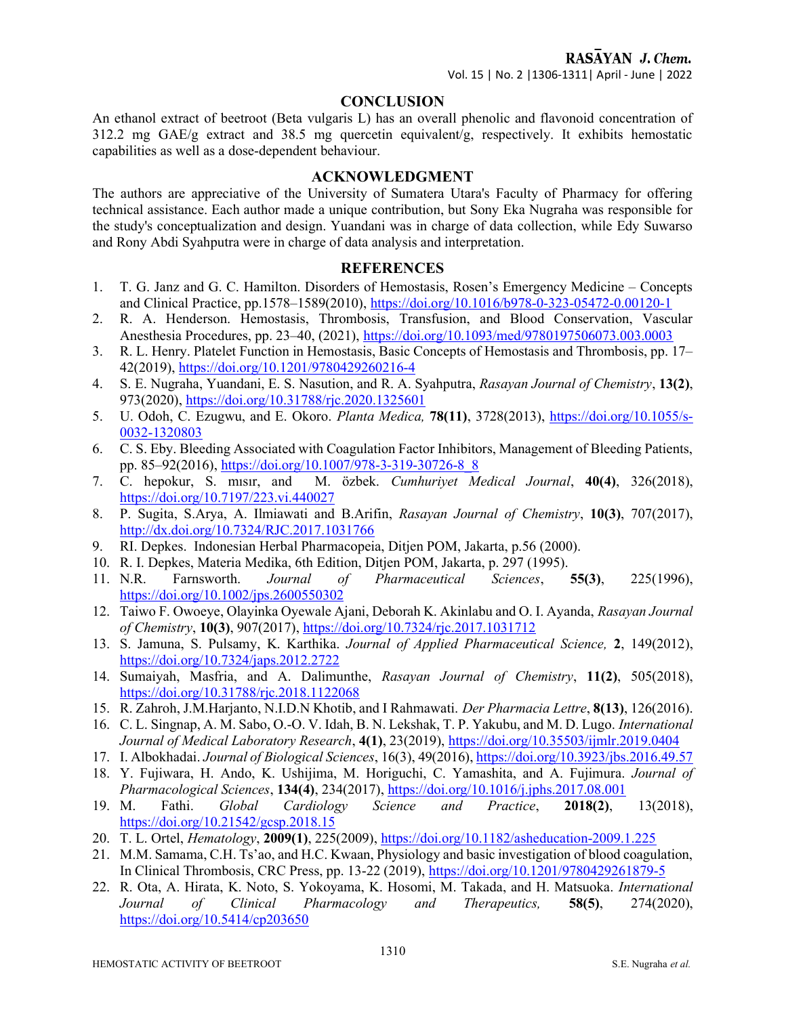#### **CONCLUSION**

An ethanol extract of beetroot (Beta vulgaris L) has an overall phenolic and flavonoid concentration of 312.2 mg GAE/g extract and 38.5 mg quercetin equivalent/g, respectively. It exhibits hemostatic capabilities as well as a dose-dependent behaviour.

#### ACKNOWLEDGMENT

The authors are appreciative of the University of Sumatera Utara's Faculty of Pharmacy for offering technical assistance. Each author made a unique contribution, but Sony Eka Nugraha was responsible for the study's conceptualization and design. Yuandani was in charge of data collection, while Edy Suwarso and Rony Abdi Syahputra were in charge of data analysis and interpretation.

#### **REFERENCES**

- 1. T. G. Janz and G. C. Hamilton. Disorders of Hemostasis, Rosen's Emergency Medicine Concepts and Clinical Practice, pp.1578–1589(2010), https://doi.org/10.1016/b978-0-323-05472-0.00120-1
- 2. R. A. Henderson. Hemostasis, Thrombosis, Transfusion, and Blood Conservation, Vascular Anesthesia Procedures, pp. 23–40, (2021), https://doi.org/10.1093/med/9780197506073.003.0003
- 3. R. L. Henry. Platelet Function in Hemostasis, Basic Concepts of Hemostasis and Thrombosis, pp. 17– 42(2019), https://doi.org/10.1201/9780429260216-4
- 4. S. E. Nugraha, Yuandani, E. S. Nasution, and R. A. Syahputra, Rasayan Journal of Chemistry, 13(2), 973(2020), https://doi.org/10.31788/rjc.2020.1325601
- 5. U. Odoh, C. Ezugwu, and E. Okoro. Planta Medica, 78(11), 3728(2013), https://doi.org/10.1055/s-0032-1320803
- 6. C. S. Eby. Bleeding Associated with Coagulation Factor Inhibitors, Management of Bleeding Patients, pp. 85–92(2016), https://doi.org/10.1007/978-3-319-30726-8\_8<br>7. C. hepokur, S. misir, and M. özbek. Cumhuriyet M.
- M. özbek. Cumhuriyet Medical Journal, 40(4), 326(2018), https://doi.org/10.7197/223.vi.440027
- 8. P. Sugita, S.Arya, A. Ilmiawati and B.Arifin, Rasayan Journal of Chemistry, 10(3), 707(2017), http://dx.doi.org/10.7324/RJC.2017.1031766
- 9. RI. Depkes. Indonesian Herbal Pharmacopeia, Ditjen POM, Jakarta, p.56 (2000).
- 10. R. I. Depkes, Materia Medika, 6th Edition, Ditjen POM, Jakarta, p. 297 (1995).
- 11. N.R. Farnsworth. Journal of Pharmaceutical Sciences, 55(3), 225(1996), https://doi.org/10.1002/jps.2600550302
- 12. Taiwo F. Owoeye, Olayinka Oyewale Ajani, Deborah K. Akinlabu and O. I. Ayanda, Rasayan Journal of Chemistry, 10(3), 907(2017), https://doi.org/10.7324/rjc.2017.1031712
- 13. S. Jamuna, S. Pulsamy, K. Karthika. Journal of Applied Pharmaceutical Science, 2, 149(2012), https://doi.org/10.7324/japs.2012.2722
- 14. Sumaiyah, Masfria, and A. Dalimunthe, Rasayan Journal of Chemistry, 11(2), 505(2018), https://doi.org/10.31788/rjc.2018.1122068
- 15. R. Zahroh, J.M.Harjanto, N.I.D.N Khotib, and I Rahmawati. Der Pharmacia Lettre, 8(13), 126(2016).
- 16. C. L. Singnap, A. M. Sabo, O.-O. V. Idah, B. N. Lekshak, T. P. Yakubu, and M. D. Lugo. International Journal of Medical Laboratory Research, 4(1), 23(2019), https://doi.org/10.35503/ijmlr.2019.0404
- 17. I. Albokhadai. Journal of Biological Sciences, 16(3), 49(2016), https://doi.org/10.3923/jbs.2016.49.57
- 18. Y. Fujiwara, H. Ando, K. Ushijima, M. Horiguchi, C. Yamashita, and A. Fujimura. Journal of Pharmacological Sciences, 134(4), 234(2017), https://doi.org/10.1016/j.jphs.2017.08.001
- 19. M. Fathi. Global Cardiology Science and Practice, 2018(2), 13(2018), https://doi.org/10.21542/gcsp.2018.15
- 20. T. L. Ortel, *Hematology*, 2009(1), 225(2009), https://doi.org/10.1182/asheducation-2009.1.225
- 21. M.M. Samama, C.H. Ts'ao, and H.C. Kwaan, Physiology and basic investigation of blood coagulation, In Clinical Thrombosis, CRC Press, pp. 13-22 (2019), https://doi.org/10.1201/9780429261879-5
- 22. R. Ota, A. Hirata, K. Noto, S. Yokoyama, K. Hosomi, M. Takada, and H. Matsuoka. International Journal of Clinical Pharmacology and Therapeutics, 58(5), 274(2020), https://doi.org/10.5414/cp203650